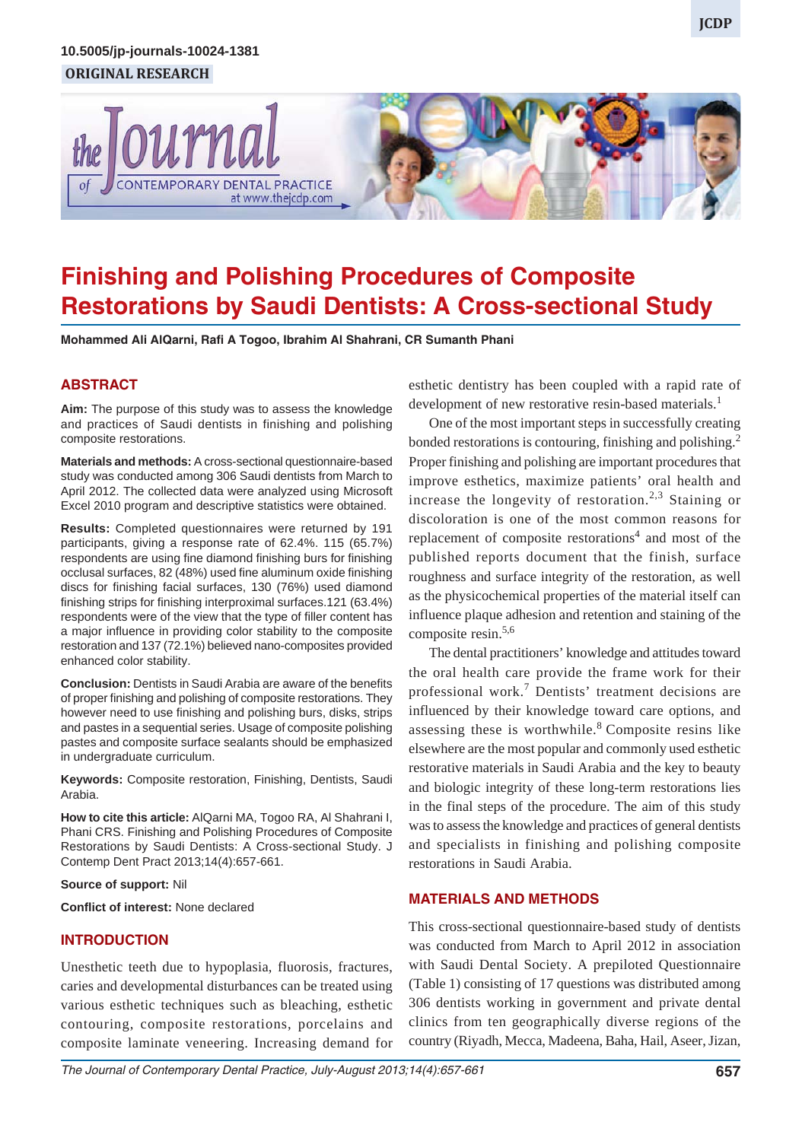#### *Finishing and Polishing Procedures of Composite Restorations by Saudi Dentists: A Cross-sectional Study* **ORIGINAL RESEARCH 10.5005/jp-journals-10024-1381**



# **Finishing and Polishing Procedures of Composite Restorations by Saudi Dentists: A Cross-sectional Study**

**Mohammed Ali AlQarni, Rafi A Togoo, Ibrahim Al Shahrani, CR Sumanth Phani**

## **ABSTRACT**

**Aim:** The purpose of this study was to assess the knowledge and practices of Saudi dentists in finishing and polishing composite restorations.

**Materials and methods:** A cross-sectional questionnaire-based study was conducted among 306 Saudi dentists from March to April 2012. The collected data were analyzed using Microsoft Excel 2010 program and descriptive statistics were obtained.

**Results:** Completed questionnaires were returned by 191 participants, giving a response rate of 62.4%. 115 (65.7%) respondents are using fine diamond finishing burs for finishing occlusal surfaces, 82 (48%) used fine aluminum oxide finishing discs for finishing facial surfaces, 130 (76%) used diamond finishing strips for finishing interproximal surfaces.121 (63.4%) respondents were of the view that the type of filler content has a major influence in providing color stability to the composite restoration and 137 (72.1%) believed nano-composites provided enhanced color stability.

**Conclusion:** Dentists in Saudi Arabia are aware of the benefits of proper finishing and polishing of composite restorations. They however need to use finishing and polishing burs, disks, strips and pastes in a sequential series. Usage of composite polishing pastes and composite surface sealants should be emphasized in undergraduate curriculum.

**Keywords:** Composite restoration, Finishing, Dentists, Saudi Arabia.

**How to cite this article:** AlQarni MA, Togoo RA, Al Shahrani I, Phani CRS. Finishing and Polishing Procedures of Composite Restorations by Saudi Dentists: A Cross-sectional Study. J Contemp Dent Pract 2013;14(4):657-661.

#### **Source of support:** Nil

**Conflict of interest:** None declared

## **INTRODUCTION**

Unesthetic teeth due to hypoplasia, fluorosis, fractures, caries and developmental disturbances can be treated using various esthetic techniques such as bleaching, esthetic contouring, composite restorations, porcelains and composite laminate veneering. Increasing demand for esthetic dentistry has been coupled with a rapid rate of development of new restorative resin-based materials.<sup>1</sup>

One of the most important steps in successfully creating bonded restorations is contouring, finishing and polishing.<sup>2</sup> Proper finishing and polishing are important procedures that improve esthetics, maximize patients' oral health and increase the longevity of restoration.<sup>2,3</sup> Staining or discoloration is one of the most common reasons for replacement of composite restorations<sup>4</sup> and most of the published reports document that the finish, surface roughness and surface integrity of the restoration, as well as the physicochemical properties of the material itself can influence plaque adhesion and retention and staining of the composite resin.5,6

The dental practitioners' knowledge and attitudes toward the oral health care provide the frame work for their professional work.<sup>7</sup> Dentists' treatment decisions are influenced by their knowledge toward care options, and assessing these is worthwhile.<sup>8</sup> Composite resins like elsewhere are the most popular and commonly used esthetic restorative materials in Saudi Arabia and the key to beauty and biologic integrity of these long-term restorations lies in the final steps of the procedure. The aim of this study was to assess the knowledge and practices of general dentists and specialists in finishing and polishing composite restorations in Saudi Arabia.

## **MATERIALS AND METHODS**

This cross-sectional questionnaire-based study of dentists was conducted from March to April 2012 in association with Saudi Dental Society. A prepiloted Questionnaire (Table 1) consisting of 17 questions was distributed among 306 dentists working in government and private dental clinics from ten geographically diverse regions of the country (Riyadh, Mecca, Madeena, Baha, Hail, Aseer, Jizan,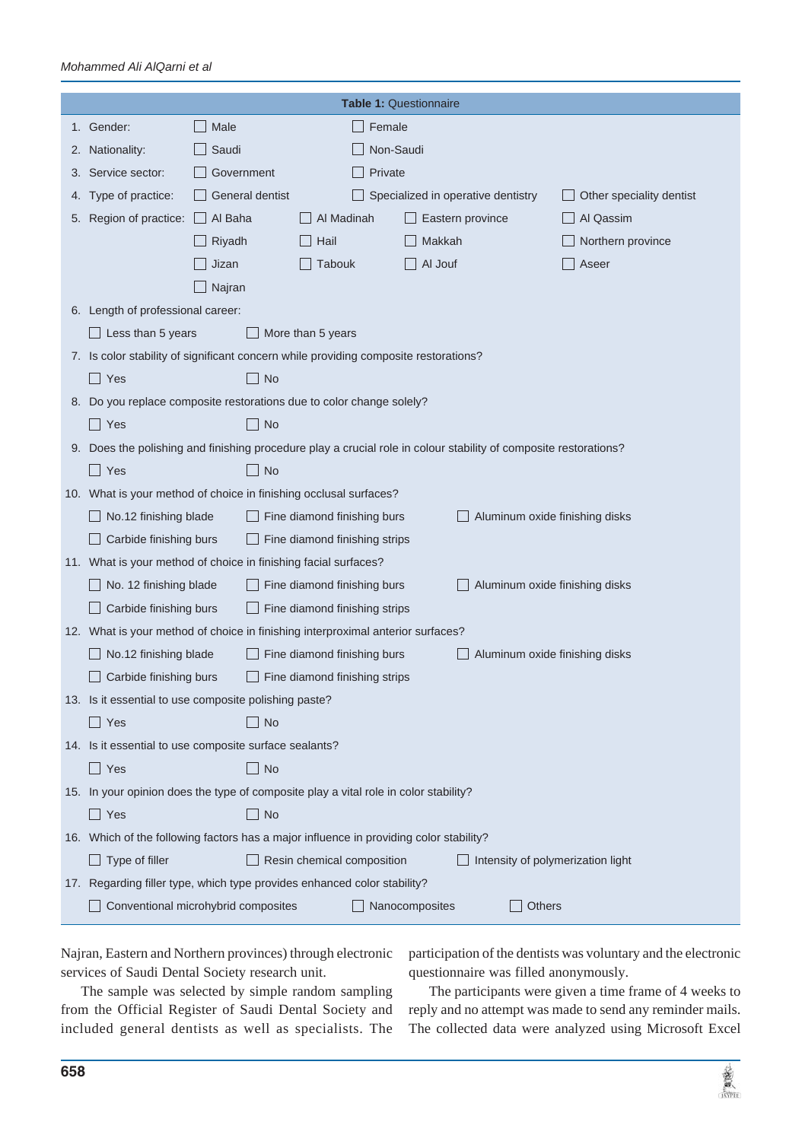#### *Mohammed Ali AlQarni et al*

| <b>Table 1: Questionnaire</b> |                                                                                                                  |                                                                                          |                                                                                      |                                |                   |  |  |  |  |
|-------------------------------|------------------------------------------------------------------------------------------------------------------|------------------------------------------------------------------------------------------|--------------------------------------------------------------------------------------|--------------------------------|-------------------|--|--|--|--|
|                               | 1. Gender:                                                                                                       | Male<br>$\Box$                                                                           | Female                                                                               |                                |                   |  |  |  |  |
| 2.                            | Nationality:                                                                                                     | Saudi                                                                                    | Non-Saudi                                                                            |                                |                   |  |  |  |  |
| 3.                            | Service sector:                                                                                                  | Government                                                                               | Private                                                                              |                                |                   |  |  |  |  |
| 4.                            | Type of practice:                                                                                                | General dentist                                                                          | Specialized in operative dentistry<br>Other speciality dentist                       |                                |                   |  |  |  |  |
| 5.                            | Region of practice:                                                                                              | Al Baha<br>H                                                                             | Al Madinah                                                                           | Eastern province               | Al Qassim         |  |  |  |  |
|                               |                                                                                                                  | Riyadh                                                                                   | Hail                                                                                 | Makkah                         | Northern province |  |  |  |  |
|                               |                                                                                                                  | Jizan                                                                                    | Tabouk                                                                               | Al Jouf                        | Aseer             |  |  |  |  |
|                               |                                                                                                                  | Najran                                                                                   |                                                                                      |                                |                   |  |  |  |  |
|                               | 6. Length of professional career:                                                                                |                                                                                          |                                                                                      |                                |                   |  |  |  |  |
|                               | Less than 5 years<br>More than 5 years                                                                           |                                                                                          |                                                                                      |                                |                   |  |  |  |  |
|                               | 7. Is color stability of significant concern while providing composite restorations?                             |                                                                                          |                                                                                      |                                |                   |  |  |  |  |
|                               | Yes                                                                                                              | <b>No</b>                                                                                |                                                                                      |                                |                   |  |  |  |  |
|                               | 8. Do you replace composite restorations due to color change solely?                                             |                                                                                          |                                                                                      |                                |                   |  |  |  |  |
|                               | $\Box$ Yes                                                                                                       | $\mathbf{I}$<br><b>No</b>                                                                |                                                                                      |                                |                   |  |  |  |  |
|                               | 9. Does the polishing and finishing procedure play a crucial role in colour stability of composite restorations? |                                                                                          |                                                                                      |                                |                   |  |  |  |  |
|                               | - 1<br><b>No</b><br>$\mathbf{I}$<br>Yes                                                                          |                                                                                          |                                                                                      |                                |                   |  |  |  |  |
|                               | 10. What is your method of choice in finishing occlusal surfaces?                                                |                                                                                          |                                                                                      |                                |                   |  |  |  |  |
|                               | No.12 finishing blade<br>Fine diamond finishing burs<br>Aluminum oxide finishing disks                           |                                                                                          |                                                                                      |                                |                   |  |  |  |  |
|                               | Carbide finishing burs<br>Fine diamond finishing strips                                                          |                                                                                          |                                                                                      |                                |                   |  |  |  |  |
|                               | 11. What is your method of choice in finishing facial surfaces?                                                  |                                                                                          |                                                                                      |                                |                   |  |  |  |  |
|                               | No. 12 finishing blade                                                                                           |                                                                                          | Fine diamond finishing burs                                                          | Aluminum oxide finishing disks |                   |  |  |  |  |
|                               | Carbide finishing burs<br>Fine diamond finishing strips                                                          |                                                                                          |                                                                                      |                                |                   |  |  |  |  |
|                               | 12. What is your method of choice in finishing interproximal anterior surfaces?                                  |                                                                                          |                                                                                      |                                |                   |  |  |  |  |
|                               | No.12 finishing blade                                                                                            |                                                                                          | Fine diamond finishing burs                                                          | Aluminum oxide finishing disks |                   |  |  |  |  |
|                               | Carbide finishing burs<br>Fine diamond finishing strips                                                          |                                                                                          |                                                                                      |                                |                   |  |  |  |  |
|                               | 13. Is it essential to use composite polishing paste?                                                            |                                                                                          |                                                                                      |                                |                   |  |  |  |  |
|                               | Yes                                                                                                              | No<br>$\perp$                                                                            |                                                                                      |                                |                   |  |  |  |  |
|                               |                                                                                                                  | 14. Is it essential to use composite surface sealants?                                   |                                                                                      |                                |                   |  |  |  |  |
|                               | $\Box$ Yes                                                                                                       | $\Box$ No                                                                                |                                                                                      |                                |                   |  |  |  |  |
|                               |                                                                                                                  |                                                                                          | 15. In your opinion does the type of composite play a vital role in color stability? |                                |                   |  |  |  |  |
|                               | $\Box$ Yes                                                                                                       | $\Box$ No                                                                                |                                                                                      |                                |                   |  |  |  |  |
|                               | 16. Which of the following factors has a major influence in providing color stability?                           |                                                                                          |                                                                                      |                                |                   |  |  |  |  |
|                               |                                                                                                                  | Type of filler<br>Resin chemical composition<br>$\Box$ Intensity of polymerization light |                                                                                      |                                |                   |  |  |  |  |
|                               | 17. Regarding filler type, which type provides enhanced color stability?                                         |                                                                                          |                                                                                      |                                |                   |  |  |  |  |
|                               | Conventional microhybrid composites<br>Nanocomposites<br>Others                                                  |                                                                                          |                                                                                      |                                |                   |  |  |  |  |

Najran, Eastern and Northern provinces) through electronic services of Saudi Dental Society research unit.

participation of the dentists was voluntary and the electronic questionnaire was filled anonymously.

The sample was selected by simple random sampling from the Official Register of Saudi Dental Society and included general dentists as well as specialists. The

The participants were given a time frame of 4 weeks to reply and no attempt was made to send any reminder mails. The collected data were analyzed using Microsoft Excel

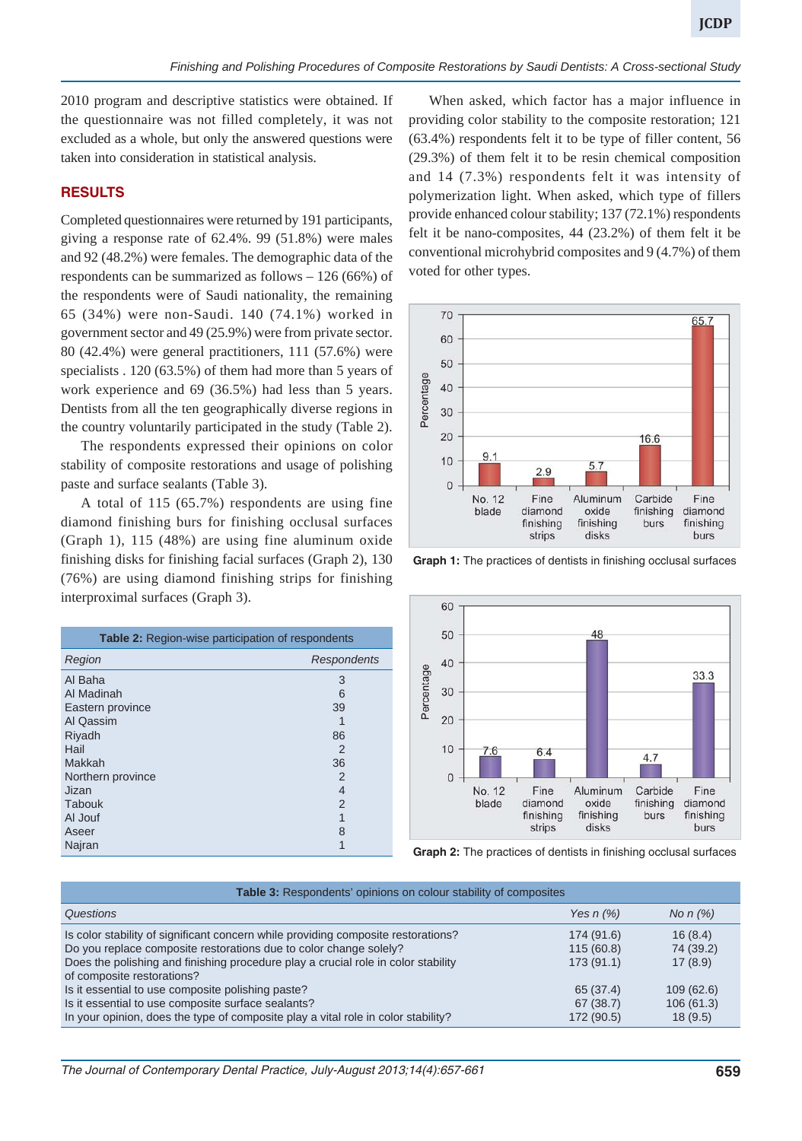2010 program and descriptive statistics were obtained. If the questionnaire was not filled completely, it was not excluded as a whole, but only the answered questions were taken into consideration in statistical analysis.

## **RESULTS**

Completed questionnaires were returned by 191 participants, giving a response rate of 62.4%. 99 (51.8%) were males and 92 (48.2%) were females. The demographic data of the respondents can be summarized as follows – 126 (66%) of the respondents were of Saudi nationality, the remaining 65 (34%) were non-Saudi. 140 (74.1%) worked in government sector and 49 (25.9%) were from private sector. 80 (42.4%) were general practitioners, 111 (57.6%) were specialists . 120 (63.5%) of them had more than 5 years of work experience and 69 (36.5%) had less than 5 years. Dentists from all the ten geographically diverse regions in the country voluntarily participated in the study (Table 2).

The respondents expressed their opinions on color stability of composite restorations and usage of polishing paste and surface sealants (Table 3).

A total of 115 (65.7%) respondents are using fine diamond finishing burs for finishing occlusal surfaces (Graph 1), 115 (48%) are using fine aluminum oxide finishing disks for finishing facial surfaces (Graph 2), 130 (76%) are using diamond finishing strips for finishing interproximal surfaces (Graph 3).

| <b>Table 2:</b> Region-wise participation of respondents |                    |  |  |  |
|----------------------------------------------------------|--------------------|--|--|--|
| Region                                                   | <b>Respondents</b> |  |  |  |
| Al Baha                                                  | 3                  |  |  |  |
| Al Madinah                                               | 6                  |  |  |  |
| Eastern province                                         | 39                 |  |  |  |
| Al Qassim                                                |                    |  |  |  |
| Riyadh                                                   | 86                 |  |  |  |
| Hail                                                     | 2                  |  |  |  |
| Makkah                                                   | 36                 |  |  |  |
| Northern province                                        | 2                  |  |  |  |
| Jizan                                                    | 4                  |  |  |  |
| Tabouk                                                   | 2                  |  |  |  |
| Al Jouf                                                  | 1                  |  |  |  |
| Aseer                                                    | 8                  |  |  |  |
| Najran                                                   |                    |  |  |  |

When asked, which factor has a major influence in providing color stability to the composite restoration; 121 (63.4%) respondents felt it to be type of filler content, 56 (29.3%) of them felt it to be resin chemical composition and 14 (7.3%) respondents felt it was intensity of polymerization light. When asked, which type of fillers provide enhanced colour stability; 137 (72.1%) respondents felt it be nano-composites, 44 (23.2%) of them felt it be conventional microhybrid composites and 9 (4.7%) of them voted for other types.



**Graph 1:** The practices of dentists in finishing occlusal surfaces



**Graph 2:** The practices of dentists in finishing occlusal surfaces

| Table 3: Respondents' opinions on colour stability of composites                  |                |               |  |  |  |
|-----------------------------------------------------------------------------------|----------------|---------------|--|--|--|
| Questions                                                                         | Yes $n$ $(\%)$ | No $n$ $(\%)$ |  |  |  |
| Is color stability of significant concern while providing composite restorations? | 174 (91.6)     | 16(8.4)       |  |  |  |
| Do you replace composite restorations due to color change solely?                 | 115(60.8)      | 74 (39.2)     |  |  |  |
| Does the polishing and finishing procedure play a crucial role in color stability | 173 (91.1)     | 17(8.9)       |  |  |  |
| of composite restorations?                                                        |                |               |  |  |  |
| Is it essential to use composite polishing paste?                                 | 65 (37.4)      | 109(62.6)     |  |  |  |
| Is it essential to use composite surface sealants?                                | 67(38.7)       | 106(61.3)     |  |  |  |
| In your opinion, does the type of composite play a vital role in color stability? | 172 (90.5)     | 18(9.5)       |  |  |  |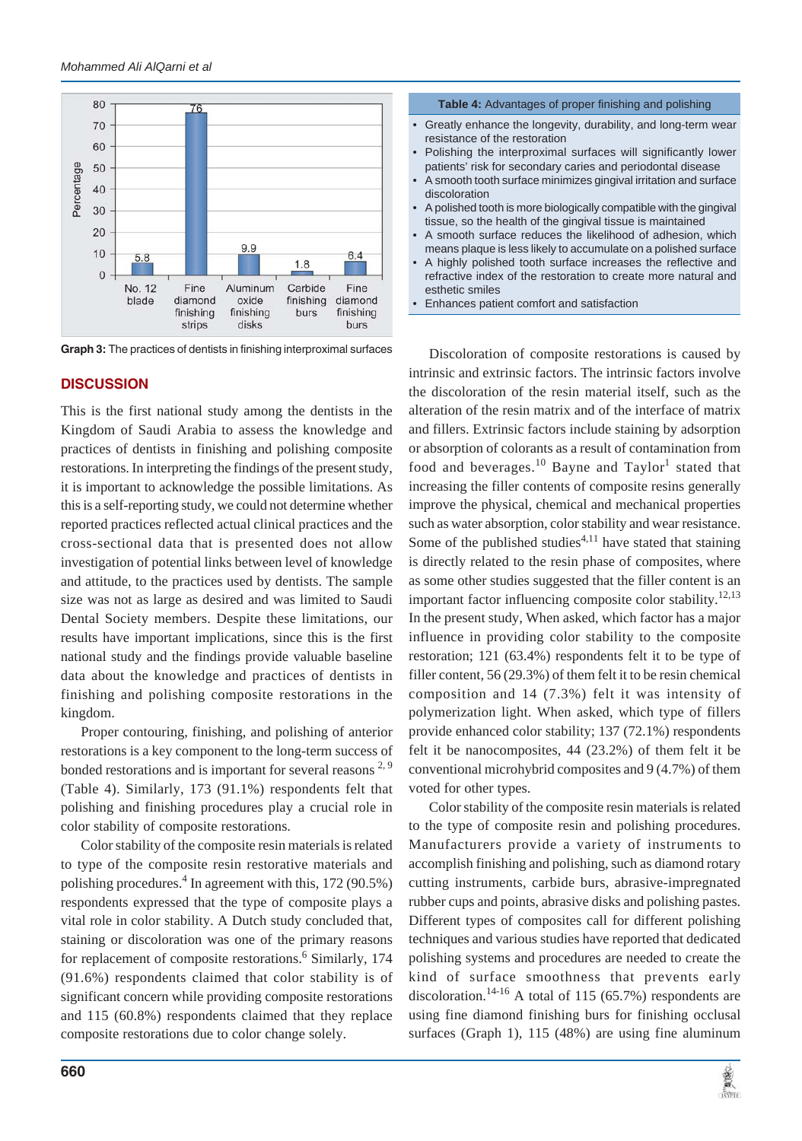

**Graph 3:** The practices of dentists in finishing interproximal surfaces

#### **DISCUSSION**

This is the first national study among the dentists in the Kingdom of Saudi Arabia to assess the knowledge and practices of dentists in finishing and polishing composite restorations. In interpreting the findings of the present study, it is important to acknowledge the possible limitations. As this is a self-reporting study, we could not determine whether reported practices reflected actual clinical practices and the cross-sectional data that is presented does not allow investigation of potential links between level of knowledge and attitude, to the practices used by dentists. The sample size was not as large as desired and was limited to Saudi Dental Society members. Despite these limitations, our results have important implications, since this is the first national study and the findings provide valuable baseline data about the knowledge and practices of dentists in finishing and polishing composite restorations in the kingdom.

Proper contouring, finishing, and polishing of anterior restorations is a key component to the long-term success of bonded restorations and is important for several reasons  $2.9$ (Table 4). Similarly, 173 (91.1%) respondents felt that polishing and finishing procedures play a crucial role in color stability of composite restorations.

Color stability of the composite resin materials is related to type of the composite resin restorative materials and polishing procedures.<sup>4</sup> In agreement with this, 172 (90.5%) respondents expressed that the type of composite plays a vital role in color stability. A Dutch study concluded that, staining or discoloration was one of the primary reasons for replacement of composite restorations.<sup>6</sup> Similarly, 174 (91.6%) respondents claimed that color stability is of significant concern while providing composite restorations and 115 (60.8%) respondents claimed that they replace composite restorations due to color change solely.



• Enhances patient comfort and satisfaction

Discoloration of composite restorations is caused by intrinsic and extrinsic factors. The intrinsic factors involve the discoloration of the resin material itself, such as the alteration of the resin matrix and of the interface of matrix and fillers. Extrinsic factors include staining by adsorption or absorption of colorants as a result of contamination from food and beverages.<sup>10</sup> Bayne and Taylor<sup>1</sup> stated that increasing the filler contents of composite resins generally improve the physical, chemical and mechanical properties such as water absorption, color stability and wear resistance. Some of the published studies<sup>4,11</sup> have stated that staining is directly related to the resin phase of composites, where as some other studies suggested that the filler content is an important factor influencing composite color stability.<sup>12,13</sup> In the present study, When asked, which factor has a major influence in providing color stability to the composite restoration; 121 (63.4%) respondents felt it to be type of filler content, 56 (29.3%) of them felt it to be resin chemical composition and 14 (7.3%) felt it was intensity of polymerization light. When asked, which type of fillers provide enhanced color stability; 137 (72.1%) respondents felt it be nanocomposites, 44 (23.2%) of them felt it be conventional microhybrid composites and 9 (4.7%) of them voted for other types.

Color stability of the composite resin materials is related to the type of composite resin and polishing procedures. Manufacturers provide a variety of instruments to accomplish finishing and polishing, such as diamond rotary cutting instruments, carbide burs, abrasive-impregnated rubber cups and points, abrasive disks and polishing pastes. Different types of composites call for different polishing techniques and various studies have reported that dedicated polishing systems and procedures are needed to create the kind of surface smoothness that prevents early discoloration.<sup>14-16</sup> A total of 115 (65.7%) respondents are using fine diamond finishing burs for finishing occlusal surfaces (Graph 1), 115 (48%) are using fine aluminum